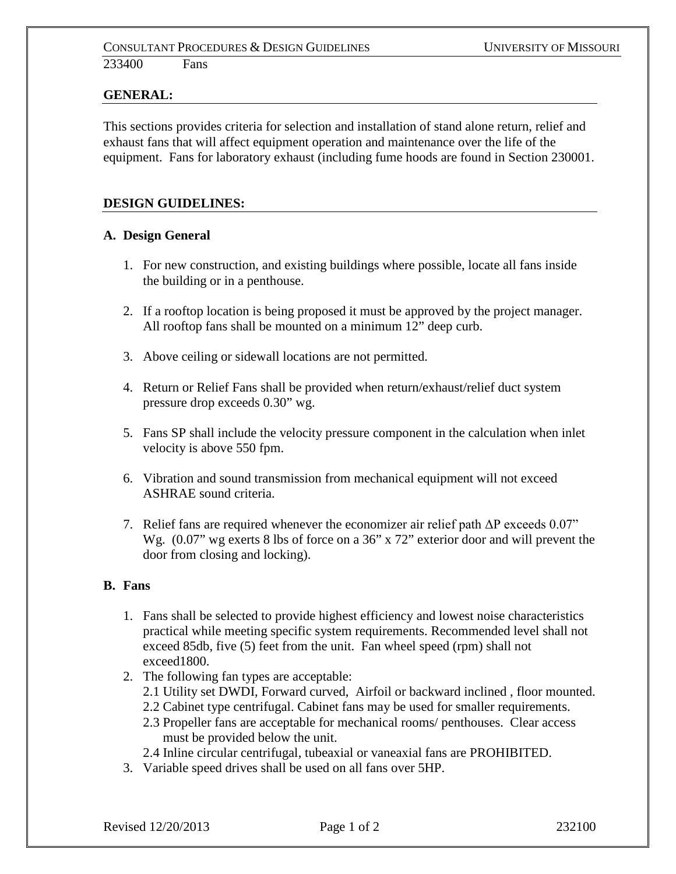## **GENERAL:**

This sections provides criteria for selection and installation of stand alone return, relief and exhaust fans that will affect equipment operation and maintenance over the life of the equipment. Fans for laboratory exhaust (including fume hoods are found in Section 230001.

## **DESIGN GUIDELINES:**

## **A. Design General**

- 1. For new construction, and existing buildings where possible, locate all fans inside the building or in a penthouse.
- 2. If a rooftop location is being proposed it must be approved by the project manager. All rooftop fans shall be mounted on a minimum 12" deep curb.
- 3. Above ceiling or sidewall locations are not permitted.
- 4. Return or Relief Fans shall be provided when return/exhaust/relief duct system pressure drop exceeds 0.30" wg.
- 5. Fans SP shall include the velocity pressure component in the calculation when inlet velocity is above 550 fpm.
- 6. Vibration and sound transmission from mechanical equipment will not exceed ASHRAE sound criteria.
- 7. Relief fans are required whenever the economizer air relief path ΔP exceeds 0.07" Wg.  $(0.07$ " wg exerts 8 lbs of force on a 36" x 72" exterior door and will prevent the door from closing and locking).

#### **B. Fans**

- 1. Fans shall be selected to provide highest efficiency and lowest noise characteristics practical while meeting specific system requirements. Recommended level shall not exceed 85db, five (5) feet from the unit. Fan wheel speed (rpm) shall not exceed1800.
- 2. The following fan types are acceptable:
	- 2.1 Utility set DWDI, Forward curved, Airfoil or backward inclined , floor mounted.
	- 2.2 Cabinet type centrifugal. Cabinet fans may be used for smaller requirements.
	- 2.3 Propeller fans are acceptable for mechanical rooms/ penthouses. Clear access must be provided below the unit.
	- 2.4 Inline circular centrifugal, tubeaxial or vaneaxial fans are PROHIBITED.
- 3. Variable speed drives shall be used on all fans over 5HP.